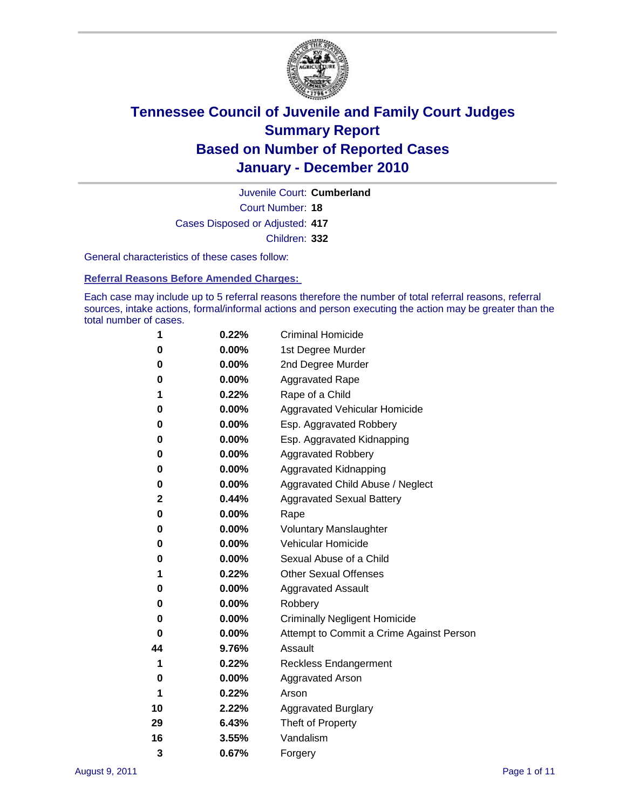

Court Number: **18** Juvenile Court: **Cumberland** Cases Disposed or Adjusted: **417** Children: **332**

General characteristics of these cases follow:

**Referral Reasons Before Amended Charges:** 

Each case may include up to 5 referral reasons therefore the number of total referral reasons, referral sources, intake actions, formal/informal actions and person executing the action may be greater than the total number of cases.

| 1  | 0.22%    | <b>Criminal Homicide</b>                 |
|----|----------|------------------------------------------|
| 0  | 0.00%    | 1st Degree Murder                        |
| 0  | 0.00%    | 2nd Degree Murder                        |
| 0  | 0.00%    | <b>Aggravated Rape</b>                   |
| 1  | 0.22%    | Rape of a Child                          |
| 0  | 0.00%    | Aggravated Vehicular Homicide            |
| 0  | 0.00%    | Esp. Aggravated Robbery                  |
| 0  | 0.00%    | Esp. Aggravated Kidnapping               |
| 0  | 0.00%    | <b>Aggravated Robbery</b>                |
| 0  | 0.00%    | Aggravated Kidnapping                    |
| 0  | 0.00%    | Aggravated Child Abuse / Neglect         |
| 2  | 0.44%    | <b>Aggravated Sexual Battery</b>         |
| 0  | 0.00%    | Rape                                     |
| 0  | $0.00\%$ | <b>Voluntary Manslaughter</b>            |
| 0  | 0.00%    | Vehicular Homicide                       |
| 0  | 0.00%    | Sexual Abuse of a Child                  |
| 1  | 0.22%    | <b>Other Sexual Offenses</b>             |
| 0  | 0.00%    | <b>Aggravated Assault</b>                |
| 0  | $0.00\%$ | Robbery                                  |
| 0  | 0.00%    | <b>Criminally Negligent Homicide</b>     |
| 0  | 0.00%    | Attempt to Commit a Crime Against Person |
| 44 | 9.76%    | Assault                                  |
| 1  | 0.22%    | <b>Reckless Endangerment</b>             |
| 0  | 0.00%    | <b>Aggravated Arson</b>                  |
| 1  | 0.22%    | Arson                                    |
| 10 | 2.22%    | <b>Aggravated Burglary</b>               |
| 29 | 6.43%    | Theft of Property                        |
| 16 | 3.55%    | Vandalism                                |
| 3  | 0.67%    | Forgery                                  |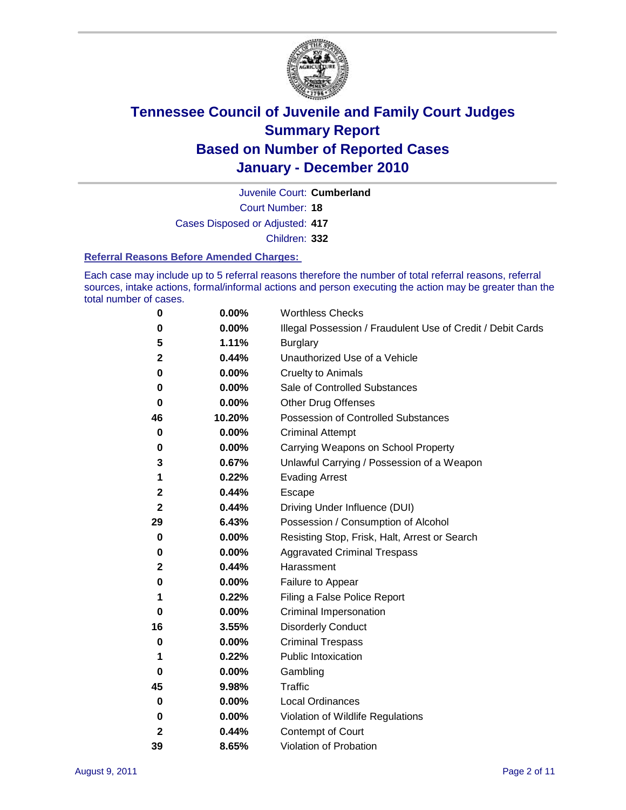

Court Number: **18** Juvenile Court: **Cumberland** Cases Disposed or Adjusted: **417**

Children: **332**

#### **Referral Reasons Before Amended Charges:**

Each case may include up to 5 referral reasons therefore the number of total referral reasons, referral sources, intake actions, formal/informal actions and person executing the action may be greater than the total number of cases.

| 0  | 0.00%  | <b>Worthless Checks</b>                                     |
|----|--------|-------------------------------------------------------------|
| 0  | 0.00%  | Illegal Possession / Fraudulent Use of Credit / Debit Cards |
| 5  | 1.11%  | <b>Burglary</b>                                             |
| 2  | 0.44%  | Unauthorized Use of a Vehicle                               |
| 0  | 0.00%  | <b>Cruelty to Animals</b>                                   |
| 0  | 0.00%  | Sale of Controlled Substances                               |
| 0  | 0.00%  | <b>Other Drug Offenses</b>                                  |
| 46 | 10.20% | Possession of Controlled Substances                         |
| 0  | 0.00%  | <b>Criminal Attempt</b>                                     |
| 0  | 0.00%  | Carrying Weapons on School Property                         |
| 3  | 0.67%  | Unlawful Carrying / Possession of a Weapon                  |
| 1  | 0.22%  | <b>Evading Arrest</b>                                       |
| 2  | 0.44%  | Escape                                                      |
| 2  | 0.44%  | Driving Under Influence (DUI)                               |
| 29 | 6.43%  | Possession / Consumption of Alcohol                         |
| 0  | 0.00%  | Resisting Stop, Frisk, Halt, Arrest or Search               |
| 0  | 0.00%  | <b>Aggravated Criminal Trespass</b>                         |
| 2  | 0.44%  | Harassment                                                  |
| 0  | 0.00%  | Failure to Appear                                           |
| 1  | 0.22%  | Filing a False Police Report                                |
| 0  | 0.00%  | Criminal Impersonation                                      |
| 16 | 3.55%  | <b>Disorderly Conduct</b>                                   |
| 0  | 0.00%  | <b>Criminal Trespass</b>                                    |
| 1  | 0.22%  | <b>Public Intoxication</b>                                  |
| 0  | 0.00%  | Gambling                                                    |
| 45 | 9.98%  | <b>Traffic</b>                                              |
| 0  | 0.00%  | <b>Local Ordinances</b>                                     |
| 0  | 0.00%  | Violation of Wildlife Regulations                           |
| 2  | 0.44%  | Contempt of Court                                           |
| 39 | 8.65%  | Violation of Probation                                      |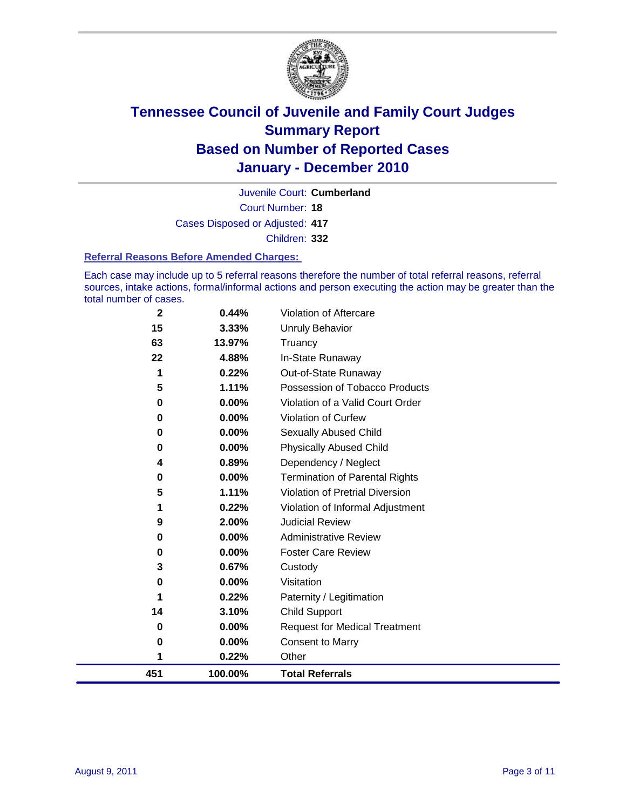

Court Number: **18** Juvenile Court: **Cumberland** Cases Disposed or Adjusted: **417** Children: **332**

#### **Referral Reasons Before Amended Charges:**

Each case may include up to 5 referral reasons therefore the number of total referral reasons, referral sources, intake actions, formal/informal actions and person executing the action may be greater than the total number of cases.

| 451      | 100.00%         | <b>Total Referrals</b>                 |
|----------|-----------------|----------------------------------------|
| 1        | 0.22%           | Other                                  |
| 0        | 0.00%           | <b>Consent to Marry</b>                |
| 0        | $0.00\%$        | <b>Request for Medical Treatment</b>   |
| 14       | 3.10%           | <b>Child Support</b>                   |
| 1        | 0.22%           | Paternity / Legitimation               |
| 0        | $0.00\%$        | Visitation                             |
| 3        | 0.67%           | Custody                                |
| 0        | 0.00%           | <b>Foster Care Review</b>              |
| 0        | $0.00\%$        | <b>Administrative Review</b>           |
| 9        | 2.00%           | <b>Judicial Review</b>                 |
| 1        | 0.22%           | Violation of Informal Adjustment       |
| 5        | 1.11%           | <b>Violation of Pretrial Diversion</b> |
| 0        | 0.00%           | <b>Termination of Parental Rights</b>  |
| 4        | 0.89%           | Dependency / Neglect                   |
| 0        | 0.00%           | <b>Physically Abused Child</b>         |
| 0        | 0.00%           | <b>Sexually Abused Child</b>           |
| 0        | 0.00%           | <b>Violation of Curfew</b>             |
| 0        | 0.00%           | Violation of a Valid Court Order       |
| 5        | 1.11%           | Possession of Tobacco Products         |
| 1        | 0.22%           | Out-of-State Runaway                   |
| 22       | 4.88%           | In-State Runaway                       |
| 15<br>63 | 3.33%<br>13.97% | Unruly Behavior<br>Truancy             |
|          |                 |                                        |
| 2        | 0.44%           | Violation of Aftercare                 |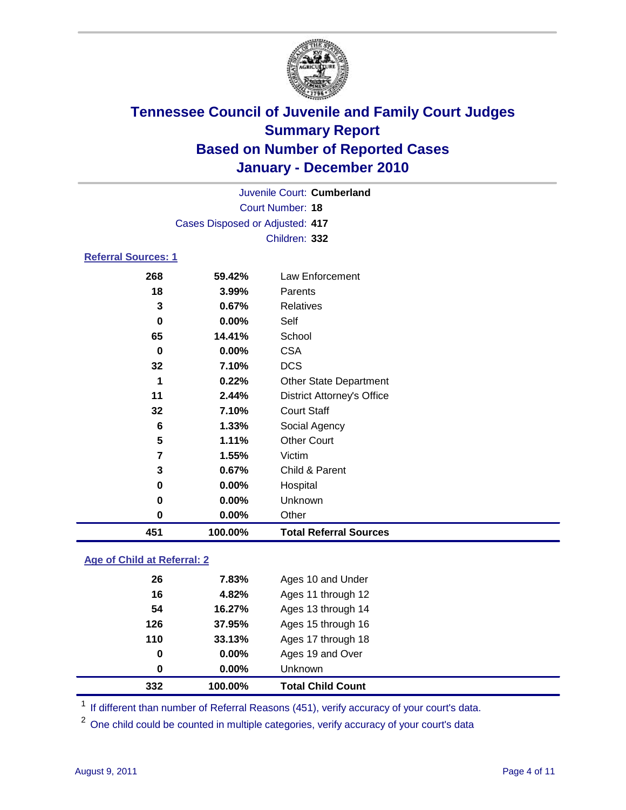

|                     |                                 | Juvenile Court: Cumberland        |
|---------------------|---------------------------------|-----------------------------------|
|                     |                                 | Court Number: 18                  |
|                     | Cases Disposed or Adjusted: 417 |                                   |
|                     |                                 | Children: 332                     |
| Referral Sources: 1 |                                 |                                   |
| 268                 | 59.42%                          | Law Enforcement                   |
| 18                  | 3.99%                           | Parents                           |
| 3                   | 0.67%                           | <b>Relatives</b>                  |
| 0                   | $0.00\%$                        | Self                              |
| 65                  | 14.41%                          | School                            |
| 0                   | $0.00\%$                        | <b>CSA</b>                        |
| 32                  | 7.10%                           | <b>DCS</b>                        |
| 1                   | 0.22%                           | <b>Other State Department</b>     |
| 11                  | 2.44%                           | <b>District Attorney's Office</b> |
| 32                  | 7.10%                           | <b>Court Staff</b>                |
| 6                   | 1.33%                           | Social Agency                     |
| 5                   | 1.11%                           | <b>Other Court</b>                |
| 7                   | 1.55%                           | Victim                            |

| 451 | 100.00%  | <b>Total Referral Sources</b> |  |
|-----|----------|-------------------------------|--|
| 0   | $0.00\%$ | Other                         |  |
| 0   | $0.00\%$ | Unknown                       |  |
| 0   | $0.00\%$ | Hospital                      |  |
| 3   | $0.67\%$ | Child & Parent                |  |
|     |          |                               |  |

#### **Age of Child at Referral: 2**

| 332 | 100.00% | <b>Total Child Count</b> |
|-----|---------|--------------------------|
| 0   | 0.00%   | <b>Unknown</b>           |
| 0   | 0.00%   | Ages 19 and Over         |
| 110 | 33.13%  | Ages 17 through 18       |
| 126 | 37.95%  | Ages 15 through 16       |
| 54  | 16.27%  | Ages 13 through 14       |
| 16  | 4.82%   | Ages 11 through 12       |
| 26  | 7.83%   | Ages 10 and Under        |
|     |         |                          |

<sup>1</sup> If different than number of Referral Reasons (451), verify accuracy of your court's data.

One child could be counted in multiple categories, verify accuracy of your court's data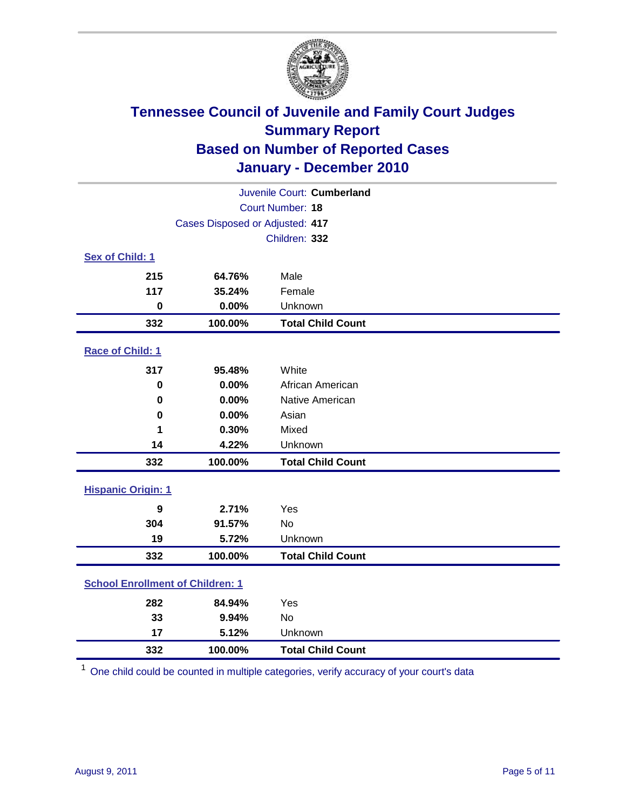

|                                         |                                 | Juvenile Court: Cumberland |
|-----------------------------------------|---------------------------------|----------------------------|
|                                         |                                 | <b>Court Number: 18</b>    |
|                                         | Cases Disposed or Adjusted: 417 |                            |
|                                         |                                 | Children: 332              |
| Sex of Child: 1                         |                                 |                            |
| 215                                     | 64.76%                          | Male                       |
| 117                                     | 35.24%                          | Female                     |
| $\mathbf 0$                             | 0.00%                           | Unknown                    |
| 332                                     | 100.00%                         | <b>Total Child Count</b>   |
| Race of Child: 1                        |                                 |                            |
| 317                                     | 95.48%                          | White                      |
| $\mathbf 0$                             | 0.00%                           | African American           |
| 0                                       | 0.00%                           | Native American            |
| $\bf{0}$                                | 0.00%                           | Asian                      |
| 1                                       | 0.30%                           | Mixed                      |
| 14                                      | 4.22%                           | Unknown                    |
| 332                                     | 100.00%                         | <b>Total Child Count</b>   |
| <b>Hispanic Origin: 1</b>               |                                 |                            |
| 9                                       | 2.71%                           | Yes                        |
| 304                                     | 91.57%                          | <b>No</b>                  |
| 19                                      | 5.72%                           | Unknown                    |
| 332                                     | 100.00%                         | <b>Total Child Count</b>   |
| <b>School Enrollment of Children: 1</b> |                                 |                            |
| 282                                     | 84.94%                          | Yes                        |
| 33                                      | 9.94%                           | No                         |
| 17                                      | 5.12%                           | Unknown                    |
| 332                                     | 100.00%                         | <b>Total Child Count</b>   |

One child could be counted in multiple categories, verify accuracy of your court's data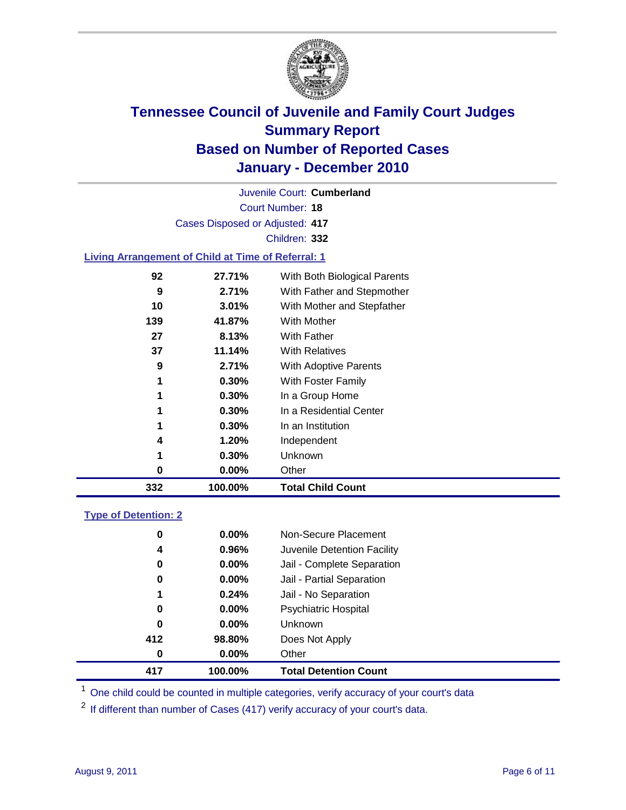

|     |                                                           | Juvenile Court: Cumberland   |  |
|-----|-----------------------------------------------------------|------------------------------|--|
|     |                                                           | Court Number: 18             |  |
|     | Cases Disposed or Adjusted: 417                           |                              |  |
|     |                                                           | Children: 332                |  |
|     | <b>Living Arrangement of Child at Time of Referral: 1</b> |                              |  |
| 92  | 27.71%                                                    | With Both Biological Parents |  |
| 9   | $2.71\%$                                                  | With Father and Stepmother   |  |
| 10  | 3.01%                                                     | With Mother and Stepfather   |  |
| 139 | 41.87%                                                    | With Mother                  |  |
| 27  | 8.13%                                                     | With Father                  |  |
| 37  | 11.14%                                                    | <b>With Relatives</b>        |  |
| 9   | 2.71%                                                     | With Adoptive Parents        |  |
| 1   | 0.30%                                                     | With Foster Family           |  |
| 1   | 0.30%                                                     | In a Group Home              |  |
| 1   | 0.30%                                                     | In a Residential Center      |  |

| 332 | 100.00%  | <b>Total Child Count</b> |  |
|-----|----------|--------------------------|--|
|     | $0.00\%$ | Other                    |  |
|     | 0.30%    | Unknown                  |  |
| 4   | 1.20%    | Independent              |  |
|     | 0.30%    | In an Institution        |  |

| <b>Type of Detention: 2</b> |
|-----------------------------|
|-----------------------------|

| 0   | $0.00\%$ | Non-Secure Placement         |  |
|-----|----------|------------------------------|--|
| 4   | 0.96%    | Juvenile Detention Facility  |  |
| 0   | $0.00\%$ | Jail - Complete Separation   |  |
| 0   | 0.00%    | Jail - Partial Separation    |  |
| 1   | 0.24%    | Jail - No Separation         |  |
| 0   | $0.00\%$ | <b>Psychiatric Hospital</b>  |  |
| 0   | 0.00%    | <b>Unknown</b>               |  |
| 412 | 98.80%   | Does Not Apply               |  |
| 0   | $0.00\%$ | Other                        |  |
| 417 | 100.00%  | <b>Total Detention Count</b> |  |

<sup>1</sup> One child could be counted in multiple categories, verify accuracy of your court's data

<sup>2</sup> If different than number of Cases (417) verify accuracy of your court's data.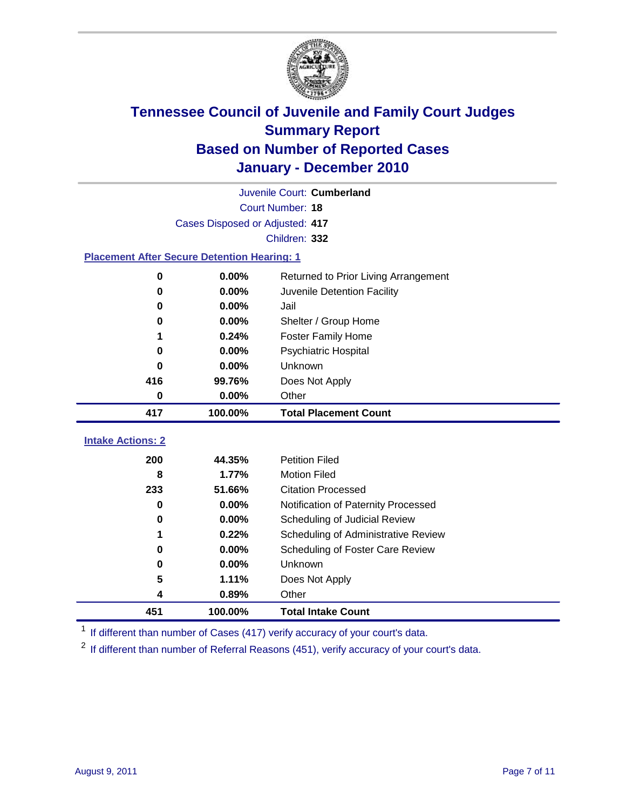

|                                                    |                                 | Juvenile Court: Cumberland           |
|----------------------------------------------------|---------------------------------|--------------------------------------|
|                                                    |                                 | Court Number: 18                     |
|                                                    | Cases Disposed or Adjusted: 417 |                                      |
|                                                    |                                 | Children: 332                        |
| <b>Placement After Secure Detention Hearing: 1</b> |                                 |                                      |
| $\mathbf 0$                                        | 0.00%                           | Returned to Prior Living Arrangement |
| $\bf{0}$                                           | 0.00%                           | Juvenile Detention Facility          |
| 0                                                  | 0.00%                           | Jail                                 |
| 0                                                  | 0.00%                           | Shelter / Group Home                 |
| 1                                                  | 0.24%                           | <b>Foster Family Home</b>            |
| 0                                                  | 0.00%                           | Psychiatric Hospital                 |
| 0                                                  | 0.00%                           | Unknown                              |
| 416                                                | 99.76%                          | Does Not Apply                       |
| $\mathbf 0$                                        | 0.00%                           | Other                                |
|                                                    |                                 |                                      |
| 417                                                | 100.00%                         | <b>Total Placement Count</b>         |
| <b>Intake Actions: 2</b>                           |                                 |                                      |
| 200                                                | 44.35%                          | <b>Petition Filed</b>                |
| 8                                                  | 1.77%                           | <b>Motion Filed</b>                  |
| 233                                                | 51.66%                          | <b>Citation Processed</b>            |
| 0                                                  | 0.00%                           | Notification of Paternity Processed  |
| $\bf{0}$                                           | 0.00%                           | Scheduling of Judicial Review        |
| 1                                                  | 0.22%                           | Scheduling of Administrative Review  |
| 0                                                  | 0.00%                           | Scheduling of Foster Care Review     |
| 0                                                  | 0.00%                           | Unknown                              |
| 5                                                  | 1.11%                           | Does Not Apply                       |
| 4                                                  | 0.89%                           | Other                                |

<sup>1</sup> If different than number of Cases (417) verify accuracy of your court's data.

<sup>2</sup> If different than number of Referral Reasons (451), verify accuracy of your court's data.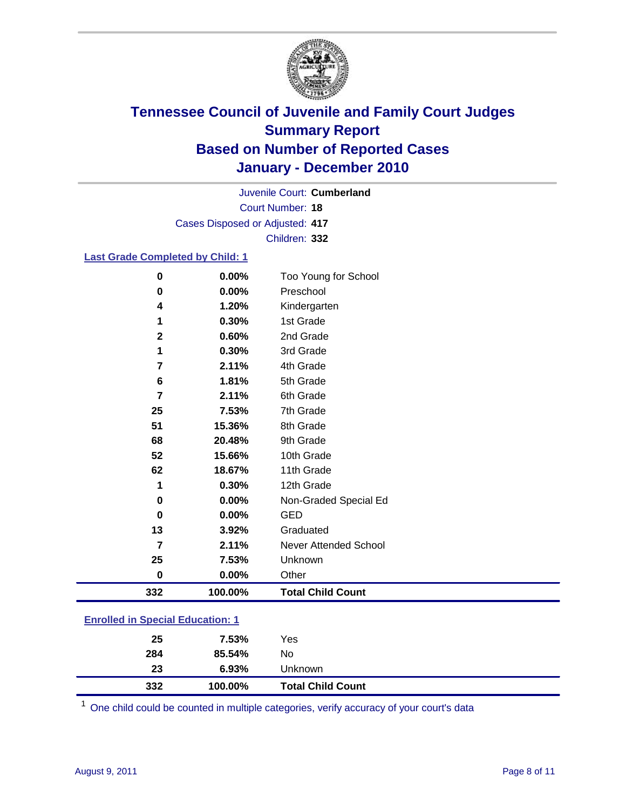

Court Number: **18** Juvenile Court: **Cumberland** Cases Disposed or Adjusted: **417** Children: **332**

#### **Last Grade Completed by Child: 1**

| $\bf{0}$                                | 0.00%   | Too Young for School         |
|-----------------------------------------|---------|------------------------------|
| 0                                       | 0.00%   | Preschool                    |
| 4                                       | 1.20%   | Kindergarten                 |
| 1                                       | 0.30%   | 1st Grade                    |
| $\mathbf{2}$                            | 0.60%   | 2nd Grade                    |
| 1                                       | 0.30%   | 3rd Grade                    |
| 7                                       | 2.11%   | 4th Grade                    |
| 6                                       | 1.81%   | 5th Grade                    |
| 7                                       | 2.11%   | 6th Grade                    |
| 25                                      | 7.53%   | 7th Grade                    |
| 51                                      | 15.36%  | 8th Grade                    |
| 68                                      | 20.48%  | 9th Grade                    |
| 52                                      | 15.66%  | 10th Grade                   |
| 62                                      | 18.67%  | 11th Grade                   |
| 1                                       | 0.30%   | 12th Grade                   |
| 0                                       | 0.00%   | Non-Graded Special Ed        |
| $\bf{0}$                                | 0.00%   | <b>GED</b>                   |
| 13                                      | 3.92%   | Graduated                    |
| $\overline{7}$                          | 2.11%   | <b>Never Attended School</b> |
| 25                                      | 7.53%   | Unknown                      |
| 0                                       | 0.00%   | Other                        |
| 332                                     | 100.00% | <b>Total Child Count</b>     |
| <b>Enrolled in Special Education: 1</b> |         |                              |

| 332                                      | 100.00% | <b>Total Child Count</b> |
|------------------------------------------|---------|--------------------------|
| 23                                       | 6.93%   | Unknown                  |
| 284                                      | 85.54%  | No                       |
| 25                                       | 7.53%   | Yes                      |
| <u>Einvilled in Opecial Education. T</u> |         |                          |

One child could be counted in multiple categories, verify accuracy of your court's data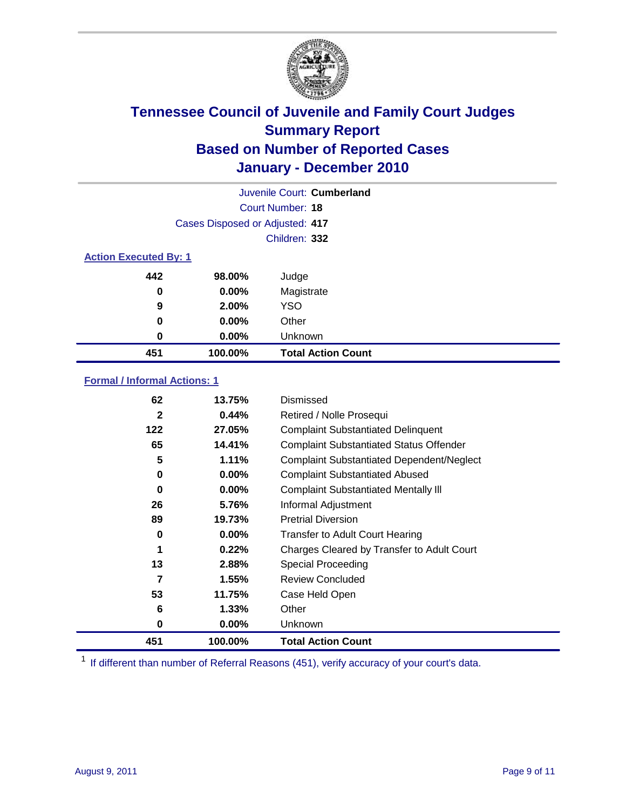

| Juvenile Court: Cumberland   |                                 |                           |  |
|------------------------------|---------------------------------|---------------------------|--|
|                              | Court Number: 18                |                           |  |
|                              | Cases Disposed or Adjusted: 417 |                           |  |
|                              |                                 | Children: 332             |  |
| <b>Action Executed By: 1</b> |                                 |                           |  |
| 442                          | 98.00%                          | Judge                     |  |
| 0                            | $0.00\%$                        | Magistrate                |  |
| 9                            | 2.00%                           | <b>YSO</b>                |  |
| 0                            | $0.00\%$                        | Other                     |  |
| $\bf{0}$                     | 0.00%                           | Unknown                   |  |
| 451                          | 100.00%                         | <b>Total Action Count</b> |  |

#### **Formal / Informal Actions: 1**

| 62           | 13.75%   | Dismissed                                        |
|--------------|----------|--------------------------------------------------|
| $\mathbf{2}$ | 0.44%    | Retired / Nolle Prosequi                         |
| 122          | 27.05%   | <b>Complaint Substantiated Delinquent</b>        |
| 65           | 14.41%   | <b>Complaint Substantiated Status Offender</b>   |
| 5            | 1.11%    | <b>Complaint Substantiated Dependent/Neglect</b> |
| 0            | 0.00%    | <b>Complaint Substantiated Abused</b>            |
| 0            | $0.00\%$ | <b>Complaint Substantiated Mentally III</b>      |
| 26           | 5.76%    | Informal Adjustment                              |
| 89           | 19.73%   | <b>Pretrial Diversion</b>                        |
| 0            | $0.00\%$ | <b>Transfer to Adult Court Hearing</b>           |
|              | 0.22%    | Charges Cleared by Transfer to Adult Court       |
| 13           | 2.88%    | <b>Special Proceeding</b>                        |
| 7            | 1.55%    | <b>Review Concluded</b>                          |
| 53           | 11.75%   | Case Held Open                                   |
| 6            | 1.33%    | Other                                            |
| 0            | $0.00\%$ | Unknown                                          |
| 451          | 100.00%  | <b>Total Action Count</b>                        |

<sup>1</sup> If different than number of Referral Reasons (451), verify accuracy of your court's data.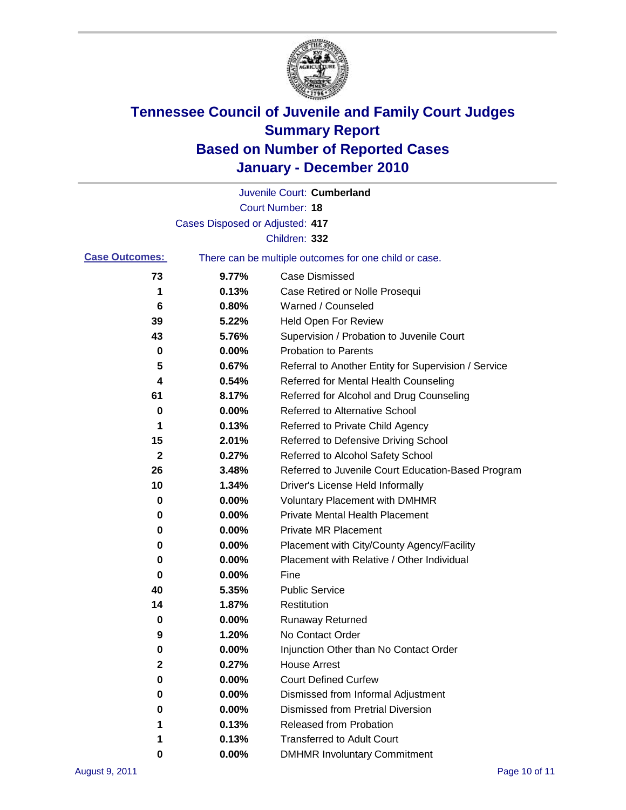

|                       |                                 | Juvenile Court: Cumberland                            |
|-----------------------|---------------------------------|-------------------------------------------------------|
|                       |                                 | Court Number: 18                                      |
|                       | Cases Disposed or Adjusted: 417 |                                                       |
|                       |                                 | Children: 332                                         |
| <b>Case Outcomes:</b> |                                 | There can be multiple outcomes for one child or case. |
| 73                    | 9.77%                           | <b>Case Dismissed</b>                                 |
| 1                     | 0.13%                           | Case Retired or Nolle Prosequi                        |
| 6                     | 0.80%                           | Warned / Counseled                                    |
| 39                    | 5.22%                           | Held Open For Review                                  |
| 43                    | 5.76%                           | Supervision / Probation to Juvenile Court             |
| 0                     | 0.00%                           | <b>Probation to Parents</b>                           |
| 5                     | 0.67%                           | Referral to Another Entity for Supervision / Service  |
| 4                     | 0.54%                           | Referred for Mental Health Counseling                 |
| 61                    | 8.17%                           | Referred for Alcohol and Drug Counseling              |
| 0                     | 0.00%                           | Referred to Alternative School                        |
| 1                     | 0.13%                           | Referred to Private Child Agency                      |
| 15                    | 2.01%                           | Referred to Defensive Driving School                  |
| $\mathbf{2}$          | 0.27%                           | Referred to Alcohol Safety School                     |
| 26                    | 3.48%                           | Referred to Juvenile Court Education-Based Program    |
| 10                    | 1.34%                           | Driver's License Held Informally                      |
| 0                     | 0.00%                           | <b>Voluntary Placement with DMHMR</b>                 |
| 0                     | 0.00%                           | <b>Private Mental Health Placement</b>                |
| 0                     | 0.00%                           | <b>Private MR Placement</b>                           |
| 0                     | 0.00%                           | Placement with City/County Agency/Facility            |
| 0                     | 0.00%                           | Placement with Relative / Other Individual            |
| 0                     | 0.00%                           | Fine                                                  |
| 40                    | 5.35%                           | <b>Public Service</b>                                 |
| 14                    | 1.87%                           | Restitution                                           |
| 0                     | 0.00%                           | <b>Runaway Returned</b>                               |
| 9                     | 1.20%                           | No Contact Order                                      |
| 0                     | 0.00%                           | Injunction Other than No Contact Order                |
| 2                     | 0.27%                           | <b>House Arrest</b>                                   |
| 0                     | 0.00%                           | <b>Court Defined Curfew</b>                           |
| 0                     | 0.00%                           | Dismissed from Informal Adjustment                    |
| 0                     | 0.00%                           | <b>Dismissed from Pretrial Diversion</b>              |
| 1                     | 0.13%                           | Released from Probation                               |
| 1                     | 0.13%                           | <b>Transferred to Adult Court</b>                     |
| 0                     | $0.00\%$                        | <b>DMHMR Involuntary Commitment</b>                   |